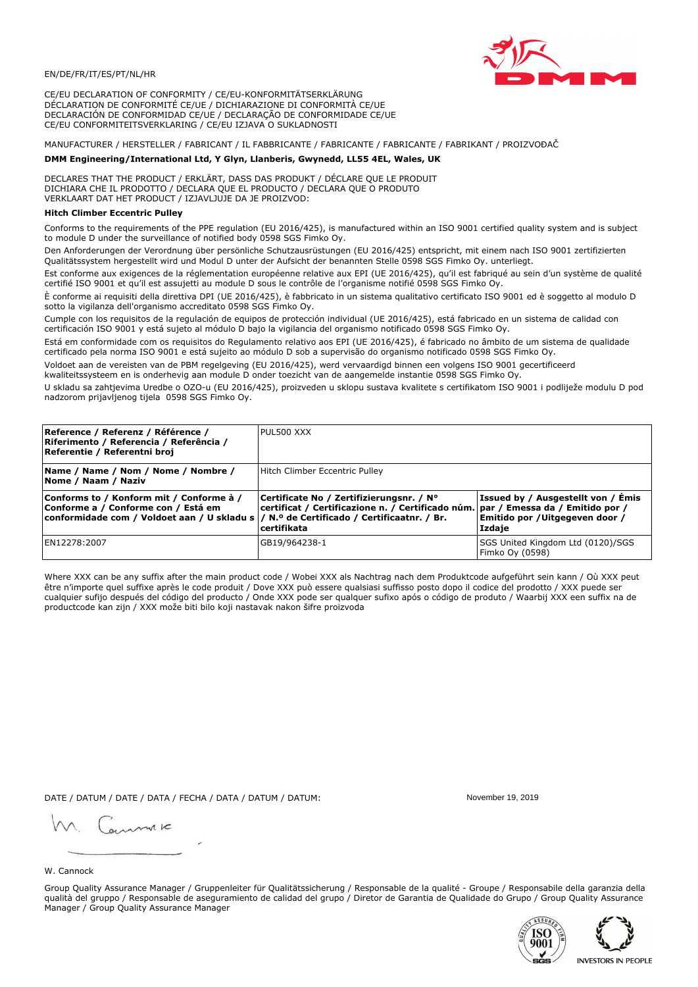

CE/EU DECLARATION OF CONFORMITY / CE/EU-KONFORMITÄTSERKLÄRUNG DÉCLARATION DE CONFORMITÉ CE/UE / DICHIARAZIONE DI CONFORMITÀ CE/UE DECLARACIÓN DE CONFORMIDAD CE/UE / DECLARAÇÃO DE CONFORMIDADE CE/UE CE/EU CONFORMITEITSVERKLARING / CE/EU IZJAVA O SUKLADNOSTI

# MANUFACTURER / HERSTELLER / FABRICANT / IL FABBRICANTE / FABRICANTE / FABRICANTE / FABRIKANT / PROIZVOĐAČ

## DMM Engineering/International Ltd, Y Glyn, Llanberis, Gwynedd, LL55 4EL, Wales, UK

DECLARES THAT THE PRODUCT / ERKLÄRT, DASS DAS PRODUKT / DÉCLARE QUE LE PRODUIT<br>DICHIARA CHE IL PRODOTTO / DECLARA QUE EL PRODUCTO / DECLARA QUE O PRODUTO VERKLAART DAT HET PRODUCT / IZJAVLJUJE DA JE PROIZVOD:

# **Hitch Climber Eccentric Pullev**

Conforms to the requirements of the PPE regulation (EU 2016/425), is manufactured within an ISO 9001 certified quality system and is subject to module D under the surveillance of notified body 0598 SGS Fimko Ov.

Den Anforderungen der Verordnung über persönliche Schutzausrüstungen (EU 2016/425) entspricht, mit einem nach ISO 9001 zertifizierten Qualitätssystem hergestellt wird und Modul D unter der Aufsicht der benannten Stelle 0598 SGS Fimko Oy. unterliegt.

Est conforme aux exigences de la réglementation européenne relative aux EPI (UE 2016/425), qu'il est fabriqué au sein d'un système de qualité certifié ISO 9001 et qu'il est assujetti au module D sous le contrôle de l'organisme notifié 0598 SGS Fimko Oy.

È conforme ai requisiti della direttiva DPI (UE 2016/425), è fabbricato in un sistema qualitativo certificato ISO 9001 ed è soggetto al modulo D sotto la vigilanza dell'organismo accreditato 0598 SGS Fimko Oy.

Cumple con los requisitos de la regulación de equipos de protección individual (UE 2016/425), está fabricado en un sistema de calidad con certificación ISO 9001 y está sujeto al módulo D bajo la vigilancia del organismo notificado 0598 SGS Fimko Oy.

Está em conformidade com os requisitos do Regulamento relativo aos EPI (UE 2016/425), é fabricado no âmbito de um sistema de qualidade certificado pela norma ISO 9001 e está sujeito ao módulo D sob a supervisão do organismo notificado 0598 SGS Fimko Oy.

Voldoet aan de vereisten van de PBM regelgeving (EU 2016/425), werd vervaardigd binnen een volgens ISO 9001 gecertificeerd kwaliteitssysteem en is onderhevig aan module D onder toezicht van de aangemelde instantie 0598 SGS Fimko Oy.

U skladu sa zahtjevima Uredbe o OZO-u (EU 2016/425), proizveden u sklopu sustava kvalitete s certifikatom ISO 9001 i podliježe modulu D pod nadzorom prijavljenog tijela 0598 SGS Fimko Oy.

| Reference / Referenz / Référence /<br>Riferimento / Referencia / Referência /<br>Referentie / Referentni broj                                                              | PUL500 XXX                                                                                                                                         |                                                                                 |
|----------------------------------------------------------------------------------------------------------------------------------------------------------------------------|----------------------------------------------------------------------------------------------------------------------------------------------------|---------------------------------------------------------------------------------|
| Name / Name / Nom / Nome / Nombre /<br>Nome / Naam / Naziv                                                                                                                 | Hitch Climber Eccentric Pulley                                                                                                                     |                                                                                 |
| Conforms to / Konform mit / Conforme à /<br>Conforme a / Conforme con / Está em<br>conformidade com / Voldoet aan / U skladu s / N.º de Certificado / Certificaatnr. / Br. | Certificate No / Zertifizierungsnr. / N°<br>  certificat / Certificazione n. / Certificado núm.   par / Emessa da / Emitido por /<br>l certifikata | Issued by / Ausgestellt von / Emis<br>Emitido por / Uitgegeven door /<br>Izdaje |
| EN12278:2007                                                                                                                                                               | GB19/964238-1                                                                                                                                      | SGS United Kingdom Ltd (0120)/SGS<br>Fimko Oy (0598)                            |

Where XXX can be any suffix after the main product code / Wobei XXX als Nachtrag nach dem Produktcode aufgeführt sein kann / Où XXX peut être n'importe quel suffixe après le code produit / Dove XXX può essere qualsiasi suffisso posto dopo il codice del prodotto / XXX puede ser cualquier sufijo después del código del producto / Onde XXX pode ser qualquer sufixo após o código de produto / Waarbij XXX een suffix na de productcode kan zijn / XXX može biti bilo koji nastavak nakon šifre proizvoda

DATE / DATUM / DATE / DATA / FECHA / DATA / DATUM / DATUM:

gimmic

November 19 2019



Group Quality Assurance Manager / Gruppenleiter für Qualitätssicherung / Responsable de la qualité - Groupe / Responsabile della garanzia della qualità del gruppo / Responsable de aseguramiento de calidad del grupo / Diretor de Garantia de Qualidade do Grupo / Group Quality Assurance Manager / Group Quality Assurance Manager



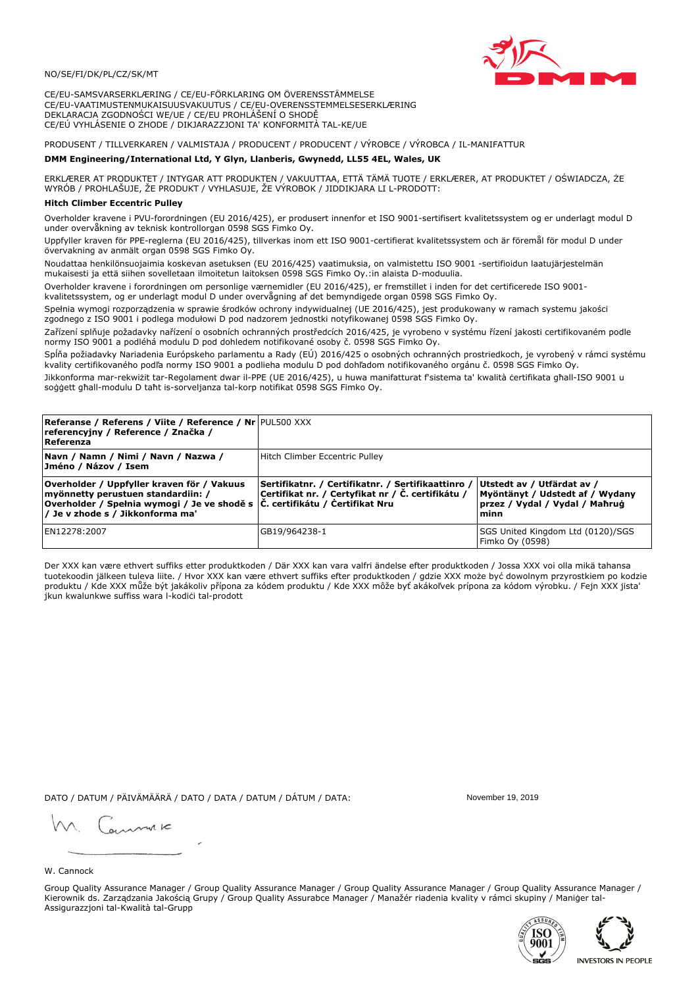

CE/EU-SAMSVARSERKLÆRING / CE/EU-FÖRKLARING OM ÖVERENSSTÄMMELSE CE/EU-VAATIMUSTENMUKAISUUSVAKUUTUS / CE/EU-OVERENSSTEMMELSESERKLÆRING DEKLARACJA ZGODNOŚCI WE/UE / CE/EU PROHLÁŠENÍ O SHODĚ CE/EÚ VYHLÁSENIE O ZHODE / DIKJARAZZJONI TA' KONFORMITÀ TAL-KE/UE

# PRODUSENT / TILLVERKAREN / VALMISTAJA / PRODUCENT / PRODUCENT / VÝROBCE / VÝROBCA / IL-MANIFATTUR

### DMM Engineering/International Ltd, Y Glyn, Llanberis, Gwynedd, LL55 4EL, Wales, UK

ERKLÆRER AT PRODUKTET / INTYGAR ATT PRODUKTEN / VAKUUTTAA, ETTÄ TÄMÄ TUOTE / ERKLÆRER, AT PRODUKTET / OŚWIADCZA, ŻE<br>WYRÓB / PROHLAŠUJE, ŽE PRODUKT / VYHLASUJE, ŽE VÝROBOK / JIDDIKJARA LI L-PRODOTT:

Overholder kravene i PVU-forordningen (EU 2016/425), er produsert innenfor et ISO 9001-sertifisert kvalitetssystem og er underlagt modul D under overvåkning av teknisk kontrollorgan 0598 SGS Fimko Oy.

Uppfyller kraven för PPE-reglerna (EU 2016/425), tillverkas inom ett ISO 9001-certifierat kvalitetssystem och är föremål för modul D under övervakning av anmält organ 0598 SGS Fimko Oy.

Noudattaa henkilönsuojaimia koskevan asetuksen (EU 2016/425) vaatimuksia, on valmistettu ISO 9001 -sertifioidun laatujärjestelmän mukaisesti ja että siihen sovelletaan ilmoitetun laitoksen 0598 SGS Fimko Oy.:in alaista D-moduulia.

Overholder kravene i forordningen om personlige værnemidler (EU 2016/425), er fremstillet i inden for det certificerede ISO 9001kvalitetssystem, og er underlagt modul D under overvågning af det bemyndigede organ 0598 SGS Fimko Oy.

Spełnia wymogi rozporządzenia w sprawie środków ochrony indywidualnej (UE 2016/425), jest produkowany w ramach systemu jakości

zgodnego z ISO 9001 i podlega modułowi D pod nadzorem jednostki notyfikowanej 0598 SGS Fimko Oy.

Zařízení splňuje požadavky nařízení o osobních ochranných prostředcích 2016/425, je vyrobeno v systému řízení jakosti certifikovaném podle normy ISO 9001 a podléhá modulu D pod dohledem notifikované osoby č. 0598 SGS Fimko Oy.

Spĺňa požiadavky Nariadenia Európskeho parlamentu a Rady (EÚ) 2016/425 o osobných ochranných prostriedkoch, je vyrobený v rámci systému kvality certifikovaného podľa normy ISO 9001 a podlieha modulu D pod dohľadom notifikovaného orgánu č. 0598 SGS Fimko Oy.

Jikkonforma mar-rekwiżit tar-Regolament dwar il-PPE (UE 2016/425), u huwa manifatturat f'sistema ta' kwalità certifikata għall-ISO 9001 u soggett għall-modulu D taħt is-sorveljanza tal-korp notifikat 0598 SGS Fimko Oy.

| <b>Referanse / Referens / Viite / Reference / Nr PUL500 XXX</b><br>referencyjny / Reference / Značka /<br>Referenza                                                                                               |                                                                                                         |                                                                                                         |
|-------------------------------------------------------------------------------------------------------------------------------------------------------------------------------------------------------------------|---------------------------------------------------------------------------------------------------------|---------------------------------------------------------------------------------------------------------|
| Navn / Namn / Nimi / Navn / Nazwa /<br> Jméno / Názov / Isem                                                                                                                                                      | Hitch Climber Eccentric Pulley                                                                          |                                                                                                         |
| Overholder / Uppfyller kraven för / Vakuus<br>myönnetty perustuen standardiin: /<br> Overholder / Spełnia wymogi / Je ve shodě s $ \tilde{C} $ . certifikátu / Čertifikat Nru<br>/ Je v zhode s / Jikkonforma ma' | Sertifikatnr. / Certifikatnr. / Sertifikaattinro /<br>Certifikat nr. / Certyfikat nr / Č. certifikátu / | Utstedt av / Utfärdat av /<br>Myöntänyt / Udstedt af / Wydany<br>przez / Vydal / Vydal / Mahrug<br>minn |
| EN12278:2007                                                                                                                                                                                                      | GB19/964238-1                                                                                           | SGS United Kingdom Ltd (0120)/SGS<br>Fimko Oy (0598)                                                    |

Der XXX kan være ethvert suffiks etter produktkoden / Där XXX kan vara valfri ändelse efter produktkoden / Jossa XXX voi olla mikä tahansa tuotekoodin jälkeen tuleva liite. / Hvor XXX kan være ethvert suffiks efter produktkoden / gdzie XXX może być dowolnym przyrostkiem po kodzie produktu / Kde XXX může být jakákoliv přípona za kódem produktu / Kde XXX môže byť akákolyek prípona za kódom výrobku. / Fejn XXX jista ikun kwalunkwe suffiss wara l-kodići tal-prodott

DATO / DATUM / PÄIVÄMÄÄRÄ / DATO / DATA / DATUM / DÁTUM / DATA:

November 19 2019

annuic

W. Cannock

Group Quality Assurance Manager / Group Quality Assurance Manager / Group Quality Assurance Manager / Group Quality Assurance Manager / Kierownik ds. Zarządzania Jakością Grupy / Group Quality Assurabce Manager / Manažér riadenia kvality v rámci skupiny / Maniger tal-Assigurazzjoni tal-Kwalità tal-Grupp